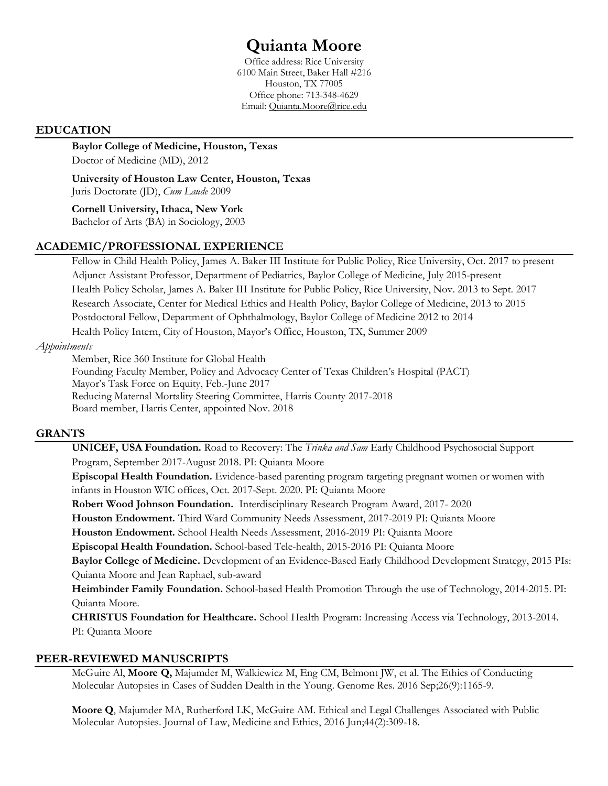# **Quianta Moore**

Office address: Rice University 6100 Main Street, Baker Hall #216 Houston, TX 77005 Office phone: 713-348-4629 Email: Quianta.Moore@rice.edu

## **EDUCATION**

**Baylor College of Medicine, Houston, Texas** Doctor of Medicine (MD), 2012

**University of Houston Law Center, Houston, Texas** Juris Doctorate (JD), *Cum Laude* 2009

**Cornell University,Ithaca, New York** Bachelor of Arts (BA) in Sociology, 2003

# **ACADEMIC/PROFESSIONAL EXPERIENCE**

Fellow in Child Health Policy, James A. Baker III Institute for Public Policy, Rice University, Oct. 2017 to present Adjunct Assistant Professor, Department of Pediatrics, Baylor College of Medicine, July 2015-present Health Policy Scholar, James A. Baker III Institute for Public Policy, Rice University, Nov. 2013 to Sept. 2017 Research Associate, Center for Medical Ethics and Health Policy, Baylor College of Medicine, 2013 to 2015 Postdoctoral Fellow, Department of Ophthalmology, Baylor College of Medicine 2012 to 2014 Health Policy Intern, City of Houston, Mayor's Office, Houston, TX, Summer 2009

#### *Appointments*

Member, Rice 360 Institute for Global Health Founding Faculty Member, Policy and Advocacy Center of Texas Children's Hospital (PACT) Mayor's Task Force on Equity, Feb.-June 2017 Reducing Maternal Mortality Steering Committee, Harris County 2017-2018 Board member, Harris Center, appointed Nov. 2018

# **GRANTS**

**UNICEF, USA Foundation.** Road to Recovery: The *Trinka and Sam* Early Childhood Psychosocial Support Program, September 2017-August 2018. PI: Quianta Moore

**Episcopal Health Foundation.** Evidence-based parenting program targeting pregnant women or women with infants in Houston WIC offices, Oct. 2017-Sept. 2020. PI: Quianta Moore

**Robert Wood Johnson Foundation.** Interdisciplinary Research Program Award, 2017- 2020

**Houston Endowment.** Third Ward Community Needs Assessment, 2017-2019 PI: Quianta Moore

**Houston Endowment.** School Health Needs Assessment, 2016-2019 PI: Quianta Moore

**Episcopal Health Foundation.** School-based Tele-health, 2015-2016 PI: Quianta Moore

**Baylor College of Medicine.** Development of an Evidence-Based Early Childhood Development Strategy, 2015 PIs: Quianta Moore and Jean Raphael, sub-award

**Heimbinder Family Foundation.** School-based Health Promotion Through the use of Technology, 2014-2015. PI: Quianta Moore.

**CHRISTUS Foundation for Healthcare.** School Health Program: Increasing Access via Technology, 2013-2014. PI: Quianta Moore

# **PEER-REVIEWED MANUSCRIPTS**

McGuire Al, **Moore Q,** Majumder M, Walkiewicz M, Eng CM, Belmont JW, et al. The Ethics of Conducting Molecular Autopsies in Cases of Sudden Dealth in the Young. Genome Res. 2016 Sep;26(9):1165-9.

**Moore Q**, Majumder MA, Rutherford LK, McGuire AM. Ethical and Legal Challenges Associated with Public Molecular Autopsies. Journal of Law, Medicine and Ethics, 2016 Jun;44(2):309-18.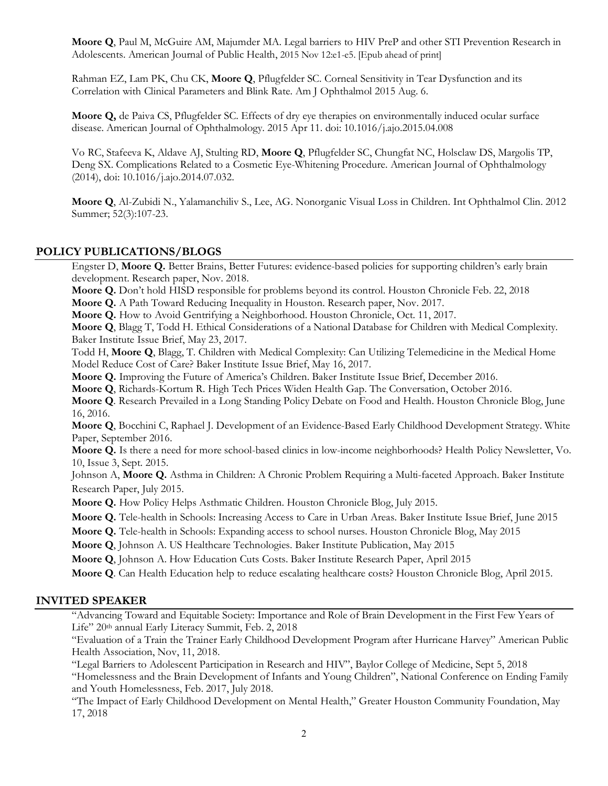**Moore Q**, Paul M, McGuire AM, Majumder MA. Legal barriers to HIV PreP and other STI Prevention Research in Adolescents. American Journal of Public Health, 2015 Nov 12:e1-e5. [Epub ahead of print]

Rahman EZ, Lam PK, Chu CK, **Moore Q**, Pflugfelder SC. Corneal Sensitivity in Tear Dysfunction and its Correlation with Clinical Parameters and Blink Rate. Am J Ophthalmol 2015 Aug. 6.

**Moore Q,** de Paiva CS, Pflugfelder SC. Effects of dry eye therapies on environmentally induced ocular surface disease. American Journal of Ophthalmology. 2015 Apr 11. doi: 10.1016/j.ajo.2015.04.008

Vo RC, Stafeeva K, Aldave AJ, Stulting RD, **Moore Q**, Pflugfelder SC, Chungfat NC, Holsclaw DS, Margolis TP, Deng SX. Complications Related to a Cosmetic Eye-Whitening Procedure. American Journal of Ophthalmology (2014), doi: 10.1016/j.ajo.2014.07.032.

**Moore Q**, Al-Zubidi N., Yalamanchiliv S., Lee, AG. Nonorganic Visual Loss in Children. Int Ophthalmol Clin. 2012 Summer; 52(3):107-23.

#### **POLICY PUBLICATIONS/BLOGS**

Engster D, **Moore Q.** Better Brains, Better Futures: evidence-based policies for supporting children's early brain development. Research paper, Nov. 2018.

**Moore Q.** Don't hold HISD responsible for problems beyond its control. Houston Chronicle Feb. 22, 2018

**Moore Q.** A Path Toward Reducing Inequality in Houston. Research paper, Nov. 2017.

**Moore Q.** How to Avoid Gentrifying a Neighborhood. Houston Chronicle, Oct. 11, 2017.

**Moore Q**, Blagg T, Todd H. Ethical Considerations of a National Database for Children with Medical Complexity. Baker Institute Issue Brief, May 23, 2017.

Todd H, **Moore Q**, Blagg, T. Children with Medical Complexity: Can Utilizing Telemedicine in the Medical Home Model Reduce Cost of Care? Baker Institute Issue Brief, May 16, 2017.

**Moore Q.** Improving the Future of America's Children. Baker Institute Issue Brief, December 2016.

**Moore Q**, Richards-Kortum R. High Tech Prices Widen Health Gap. The Conversation, October 2016.

**Moore Q**. Research Prevailed in a Long Standing Policy Debate on Food and Health. Houston Chronicle Blog, June 16, 2016.

**Moore Q**, Bocchini C, Raphael J. Development of an Evidence-Based Early Childhood Development Strategy. White Paper, September 2016.

**Moore Q.** Is there a need for more school-based clinics in low-income neighborhoods? Health Policy Newsletter, Vo. 10, Issue 3, Sept. 2015.

Johnson A, **Moore Q.** Asthma in Children: A Chronic Problem Requiring a Multi-faceted Approach. Baker Institute Research Paper, July 2015.

**Moore Q.** How Policy Helps Asthmatic Children. Houston Chronicle Blog, July 2015.

**Moore Q.** Tele-health in Schools: Increasing Access to Care in Urban Areas. Baker Institute Issue Brief, June 2015

**Moore Q.** Tele-health in Schools: Expanding access to school nurses. Houston Chronicle Blog, May 2015

**Moore Q**, Johnson A. US Healthcare Technologies. Baker Institute Publication, May 2015

**Moore Q**, Johnson A. How Education Cuts Costs. Baker Institute Research Paper, April 2015

**Moore Q**. Can Health Education help to reduce escalating healthcare costs? Houston Chronicle Blog, April 2015.

#### **INVITED SPEAKER**

"Advancing Toward and Equitable Society: Importance and Role of Brain Development in the First Few Years of Life" 20<sup>th</sup> annual Early Literacy Summit, Feb. 2, 2018

"Evaluation of a Train the Trainer Early Childhood Development Program after Hurricane Harvey" American Public Health Association, Nov, 11, 2018.

"Legal Barriers to Adolescent Participation in Research and HIV", Baylor College of Medicine, Sept 5, 2018

"Homelessness and the Brain Development of Infants and Young Children", National Conference on Ending Family and Youth Homelessness, Feb. 2017, July 2018.

"The Impact of Early Childhood Development on Mental Health," Greater Houston Community Foundation, May 17, 2018